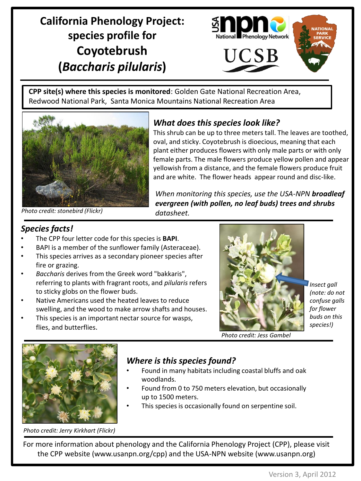# **California Phenology Project: species profile for Coyotebrush (***Baccharis pilularis***)**



**CPP site(s) where this species is monitored**: Golden Gate National Recreation Area, Redwood National Park, Santa Monica Mountains National Recreation Area



### *What does this species look like?*

This shrub can be up to three meters tall. The leaves are toothed, oval, and sticky. Coyotebrush is dioecious, meaning that each plant either produces flowers with only male parts or with only female parts. The male flowers produce yellow pollen and appear yellowish from a distance, and the female flowers produce fruit and are white. The flower heads appear round and disc-like.

*When monitoring this species, use the USA-NPN broadleaf evergreen (with pollen, no leaf buds) trees and shrubs datasheet.*

*Photo credit: stonebird (Flickr)*

### *Species facts!*

- The CPP four letter code for this species is **BAPI**.
- BAPI is a member of the sunflower family (Asteraceae).
- This species arrives as a secondary pioneer species after fire or grazing.
- *Baccharis* derives from the Greek word "bakkaris", referring to plants with fragrant roots, and *pilularis* refers to sticky globs on the flower buds.
- Native Americans used the heated leaves to reduce swelling, and the wood to make arrow shafts and houses.
- This species is an important nectar source for wasps, flies, and butterflies.



*Insect gall (note: do not confuse galls for flower buds on this species!)* 

*Photo credit: Jess Gambel*



#### *Where is this species found?*

- Found in many habitats including coastal bluffs and oak woodlands.
- Found from 0 to 750 meters elevation, but occasionally up to 1500 meters.
- This species is occasionally found on serpentine soil.

*Photo credit: Jerry Kirkhart (Flickr)*

For more information about phenology and the California Phenology Project (CPP), please visit the CPP website (www.usanpn.org/cpp) and the USA-NPN website (www.usanpn.org)